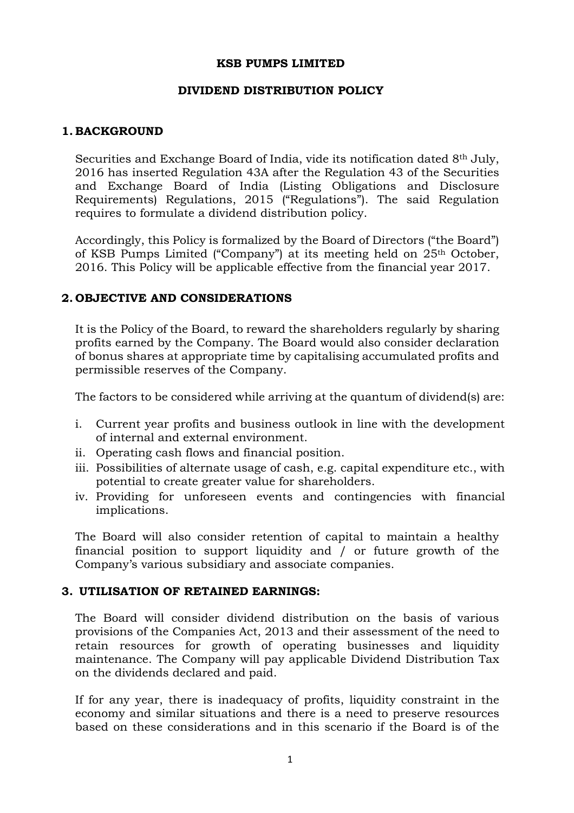#### KSB PUMPS LIMITED

### DIVIDEND DISTRIBUTION POLICY

# 1. BACKGROUND

Securities and Exchange Board of India, vide its notification dated 8th July, 2016 has inserted Regulation 43A after the Regulation 43 of the Securities and Exchange Board of India (Listing Obligations and Disclosure Requirements) Regulations, 2015 ("Regulations"). The said Regulation requires to formulate a dividend distribution policy.

Accordingly, this Policy is formalized by the Board of Directors ("the Board") of KSB Pumps Limited ("Company") at its meeting held on 25th October, 2016. This Policy will be applicable effective from the financial year 2017.

# 2. OBJECTIVE AND CONSIDERATIONS

It is the Policy of the Board, to reward the shareholders regularly by sharing profits earned by the Company. The Board would also consider declaration of bonus shares at appropriate time by capitalising accumulated profits and permissible reserves of the Company.

The factors to be considered while arriving at the quantum of dividend(s) are:

- i. Current year profits and business outlook in line with the development of internal and external environment.
- ii. Operating cash flows and financial position.
- iii. Possibilities of alternate usage of cash, e.g. capital expenditure etc., with potential to create greater value for shareholders.
- iv. Providing for unforeseen events and contingencies with financial implications.

The Board will also consider retention of capital to maintain a healthy financial position to support liquidity and / or future growth of the Company's various subsidiary and associate companies.

### 3. UTILISATION OF RETAINED EARNINGS:

The Board will consider dividend distribution on the basis of various provisions of the Companies Act, 2013 and their assessment of the need to retain resources for growth of operating businesses and liquidity maintenance. The Company will pay applicable Dividend Distribution Tax on the dividends declared and paid.

If for any year, there is inadequacy of profits, liquidity constraint in the economy and similar situations and there is a need to preserve resources based on these considerations and in this scenario if the Board is of the